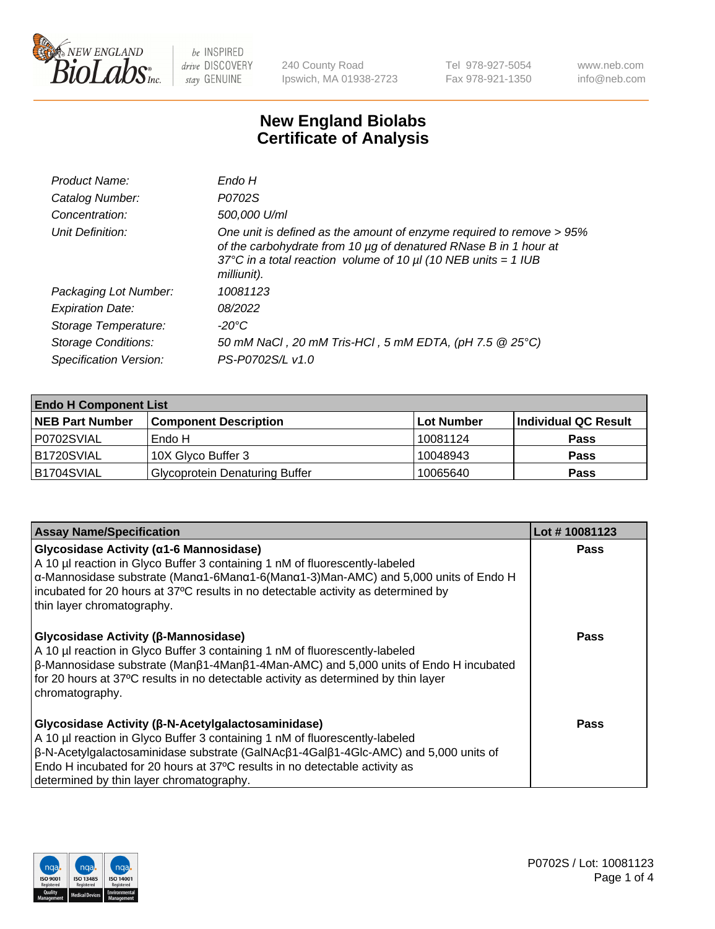

240 County Road Ipswich, MA 01938-2723 Tel 978-927-5054 Fax 978-921-1350 www.neb.com info@neb.com

## **New England Biolabs Certificate of Analysis**

| Endo H                                                                                                                                                                                                                         |
|--------------------------------------------------------------------------------------------------------------------------------------------------------------------------------------------------------------------------------|
| P0702S                                                                                                                                                                                                                         |
| 500,000 U/ml                                                                                                                                                                                                                   |
| One unit is defined as the amount of enzyme required to remove > 95%<br>of the carbohydrate from 10 µg of denatured RNase B in 1 hour at<br>37°C in a total reaction volume of 10 $\mu$ I (10 NEB units = 1 IUB<br>milliunit). |
| 10081123                                                                                                                                                                                                                       |
| 08/2022                                                                                                                                                                                                                        |
| -20°C                                                                                                                                                                                                                          |
| 50 mM NaCl, 20 mM Tris-HCl, 5 mM EDTA, (pH 7.5 @ 25°C)                                                                                                                                                                         |
| PS-P0702S/L v1.0                                                                                                                                                                                                               |
|                                                                                                                                                                                                                                |

| <b>Endo H Component List</b> |                                       |             |                      |  |  |
|------------------------------|---------------------------------------|-------------|----------------------|--|--|
| <b>NEB Part Number</b>       | <b>Component Description</b>          | ∣Lot Number | Individual QC Result |  |  |
| P0702SVIAL                   | Endo H                                | 10081124    | <b>Pass</b>          |  |  |
| <b>B1720SVIAL</b>            | 10X Glyco Buffer 3                    | 10048943    | <b>Pass</b>          |  |  |
| B1704SVIAL                   | <b>Glycoprotein Denaturing Buffer</b> | 10065640    | <b>Pass</b>          |  |  |

| <b>Assay Name/Specification</b>                                                                                                                                                                                                                                                                                                                                           | Lot #10081123 |
|---------------------------------------------------------------------------------------------------------------------------------------------------------------------------------------------------------------------------------------------------------------------------------------------------------------------------------------------------------------------------|---------------|
| <b>Glycosidase Activity (α1-6 Mannosidase)</b><br>A 10 µl reaction in Glyco Buffer 3 containing 1 nM of fluorescently-labeled<br>$\alpha$ -Mannosidase substrate (Man $\alpha$ 1-6Man $\alpha$ 1-6(Man $\alpha$ 1-3)Man-AMC) and 5,000 units of Endo H<br>incubated for 20 hours at 37°C results in no detectable activity as determined by<br>thin layer chromatography. | <b>Pass</b>   |
| <b>Glycosidase Activity (β-Mannosidase)</b><br>A 10 µl reaction in Glyco Buffer 3 containing 1 nM of fluorescently-labeled<br>$\beta$ -Mannosidase substrate (Man $\beta$ 1-4Man $\beta$ 1-4Man-AMC) and 5,000 units of Endo H incubated<br>for 20 hours at 37°C results in no detectable activity as determined by thin layer<br>chromatography.                         | Pass          |
| Glycosidase Activity (β-N-Acetylgalactosaminidase)<br>A 10 µl reaction in Glyco Buffer 3 containing 1 nM of fluorescently-labeled<br>$\beta$ -N-Acetylgalactosaminidase substrate (GalNAc $\beta$ 1-4Gal $\beta$ 1-4Glc-AMC) and 5,000 units of<br>Endo H incubated for 20 hours at 37°C results in no detectable activity as<br>determined by thin layer chromatography. | Pass          |

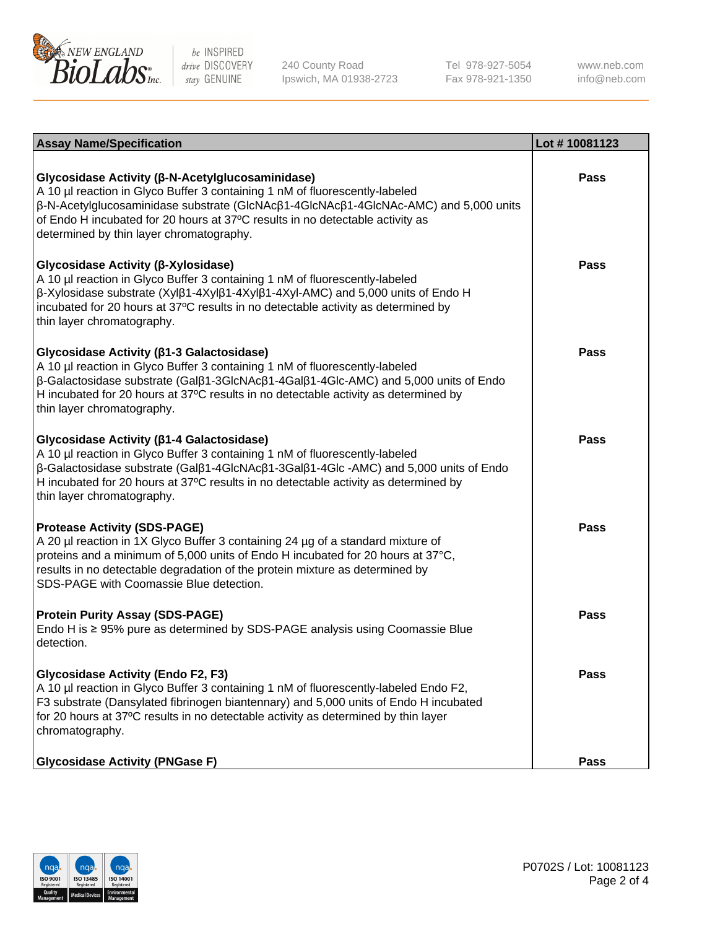

240 County Road Ipswich, MA 01938-2723 Tel 978-927-5054 Fax 978-921-1350 www.neb.com info@neb.com

| <b>Assay Name/Specification</b>                                                                                                                                                                                                                                                                                                                                      | Lot #10081123 |
|----------------------------------------------------------------------------------------------------------------------------------------------------------------------------------------------------------------------------------------------------------------------------------------------------------------------------------------------------------------------|---------------|
| Glycosidase Activity (β-N-Acetylglucosaminidase)<br>A 10 µl reaction in Glyco Buffer 3 containing 1 nM of fluorescently-labeled<br>β-N-Acetylglucosaminidase substrate (GlcNAcβ1-4GlcNAcβ1-4GlcNAc-AMC) and 5,000 units<br>of Endo H incubated for 20 hours at 37°C results in no detectable activity as<br>determined by thin layer chromatography.                 | Pass          |
| Glycosidase Activity (β-Xylosidase)<br>A 10 µl reaction in Glyco Buffer 3 containing 1 nM of fluorescently-labeled<br>β-Xylosidase substrate (Xylβ1-4Xylβ1-4Xylβ1-4Xyl-AMC) and 5,000 units of Endo H<br>incubated for 20 hours at 37°C results in no detectable activity as determined by<br>thin layer chromatography.                                             | Pass          |
| Glycosidase Activity (β1-3 Galactosidase)<br>A 10 µl reaction in Glyco Buffer 3 containing 1 nM of fluorescently-labeled<br>β-Galactosidase substrate (Galβ1-3GlcNAcβ1-4Galβ1-4Glc-AMC) and 5,000 units of Endo<br>H incubated for 20 hours at 37°C results in no detectable activity as determined by<br>thin layer chromatography.                                 | Pass          |
| Glycosidase Activity (β1-4 Galactosidase)<br>A 10 µl reaction in Glyco Buffer 3 containing 1 nM of fluorescently-labeled<br>$\beta$ -Galactosidase substrate (Gal $\beta$ 1-4GlcNAc $\beta$ 1-3Gal $\beta$ 1-4Glc -AMC) and 5,000 units of Endo<br>H incubated for 20 hours at 37°C results in no detectable activity as determined by<br>thin layer chromatography. | Pass          |
| <b>Protease Activity (SDS-PAGE)</b><br>A 20 µl reaction in 1X Glyco Buffer 3 containing 24 µg of a standard mixture of<br>proteins and a minimum of 5,000 units of Endo H incubated for 20 hours at 37°C,<br>results in no detectable degradation of the protein mixture as determined by<br>SDS-PAGE with Coomassie Blue detection.                                 | Pass          |
| <b>Protein Purity Assay (SDS-PAGE)</b><br>Endo H is ≥ 95% pure as determined by SDS-PAGE analysis using Coomassie Blue<br>detection.                                                                                                                                                                                                                                 | Pass          |
| <b>Glycosidase Activity (Endo F2, F3)</b><br>A 10 µl reaction in Glyco Buffer 3 containing 1 nM of fluorescently-labeled Endo F2,<br>F3 substrate (Dansylated fibrinogen biantennary) and 5,000 units of Endo H incubated<br>for 20 hours at 37°C results in no detectable activity as determined by thin layer<br>chromatography.                                   | <b>Pass</b>   |
| <b>Glycosidase Activity (PNGase F)</b>                                                                                                                                                                                                                                                                                                                               | <b>Pass</b>   |

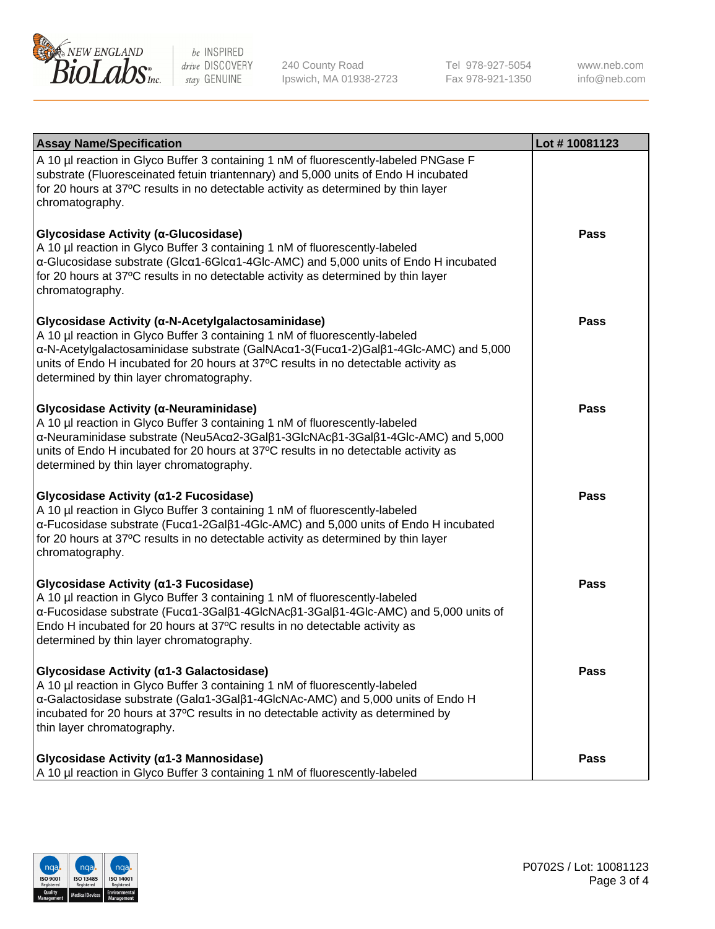

240 County Road Ipswich, MA 01938-2723 Tel 978-927-5054 Fax 978-921-1350 www.neb.com info@neb.com

| <b>Assay Name/Specification</b>                                                                                                                                                                                                                                                                                                                             | Lot #10081123 |
|-------------------------------------------------------------------------------------------------------------------------------------------------------------------------------------------------------------------------------------------------------------------------------------------------------------------------------------------------------------|---------------|
| A 10 µl reaction in Glyco Buffer 3 containing 1 nM of fluorescently-labeled PNGase F<br>substrate (Fluoresceinated fetuin triantennary) and 5,000 units of Endo H incubated<br>for 20 hours at 37°C results in no detectable activity as determined by thin layer<br>chromatography.                                                                        |               |
| Glycosidase Activity (α-Glucosidase)<br>A 10 µl reaction in Glyco Buffer 3 containing 1 nM of fluorescently-labeled<br>α-Glucosidase substrate (Glcα1-6Glcα1-4Glc-AMC) and 5,000 units of Endo H incubated<br>for 20 hours at 37°C results in no detectable activity as determined by thin layer<br>chromatography.                                         | <b>Pass</b>   |
| Glycosidase Activity (α-N-Acetylgalactosaminidase)<br>A 10 µl reaction in Glyco Buffer 3 containing 1 nM of fluorescently-labeled<br>α-N-Acetylgalactosaminidase substrate (GalNAcα1-3(Fucα1-2)Galβ1-4Glc-AMC) and 5,000<br>units of Endo H incubated for 20 hours at 37°C results in no detectable activity as<br>determined by thin layer chromatography. | <b>Pass</b>   |
| Glycosidase Activity (α-Neuraminidase)<br>A 10 µl reaction in Glyco Buffer 3 containing 1 nM of fluorescently-labeled<br>α-Neuraminidase substrate (Neu5Acα2-3Galβ1-3GlcNAcβ1-3Galβ1-4Glc-AMC) and 5,000<br>units of Endo H incubated for 20 hours at 37°C results in no detectable activity as<br>determined by thin layer chromatography.                 | Pass          |
| Glycosidase Activity (α1-2 Fucosidase)<br>A 10 µl reaction in Glyco Buffer 3 containing 1 nM of fluorescently-labeled<br>α-Fucosidase substrate (Fucα1-2Galβ1-4Glc-AMC) and 5,000 units of Endo H incubated<br>for 20 hours at 37°C results in no detectable activity as determined by thin layer<br>chromatography.                                        | <b>Pass</b>   |
| Glycosidase Activity (α1-3 Fucosidase)<br>A 10 µl reaction in Glyco Buffer 3 containing 1 nM of fluorescently-labeled<br>α-Fucosidase substrate (Fucα1-3Galβ1-4GlcNAcβ1-3Galβ1-4Glc-AMC) and 5,000 units of<br>Endo H incubated for 20 hours at 37°C results in no detectable activity as<br>determined by thin layer chromatography.                       | Pass          |
| Glycosidase Activity (α1-3 Galactosidase)<br>A 10 µl reaction in Glyco Buffer 3 containing 1 nM of fluorescently-labeled<br>α-Galactosidase substrate (Galα1-3Galβ1-4GlcNAc-AMC) and 5,000 units of Endo H<br>incubated for 20 hours at 37°C results in no detectable activity as determined by<br>thin layer chromatography.                               | <b>Pass</b>   |
| Glycosidase Activity (α1-3 Mannosidase)<br>A 10 µl reaction in Glyco Buffer 3 containing 1 nM of fluorescently-labeled                                                                                                                                                                                                                                      | <b>Pass</b>   |